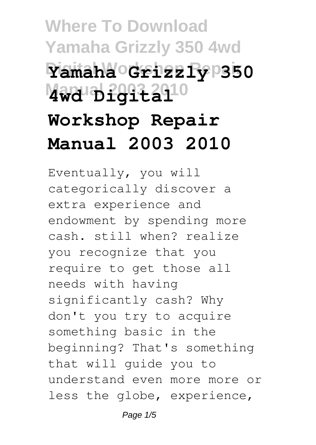## **Where To Download Yamaha Grizzly 350 4wd Digital Workshop Repair Yamaha Grizzly 350 Manual 2003 2010 4wd Digital Workshop Repair Manual 2003 2010**

Eventually, you will categorically discover a extra experience and endowment by spending more cash. still when? realize you recognize that you require to get those all needs with having significantly cash? Why don't you try to acquire something basic in the beginning? That's something that will guide you to understand even more more or less the globe, experience,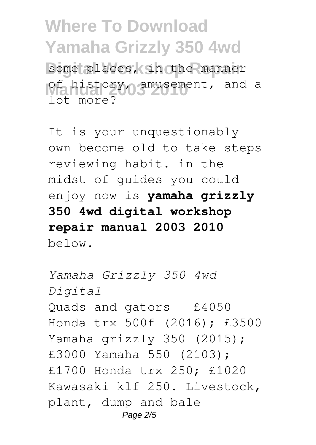**Where To Download Yamaha Grizzly 350 4wd** some places, in the manner

**Manual 2003** 2009 2010 2010 2010 2010 lot more?

It is your unquestionably own become old to take steps reviewing habit. in the midst of guides you could enjoy now is **yamaha grizzly 350 4wd digital workshop repair manual 2003 2010** below.

*Yamaha Grizzly 350 4wd Digital* Quads and gators – £4050 Honda trx 500f (2016); £3500 Yamaha grizzly 350 (2015); £3000 Yamaha 550 (2103); £1700 Honda trx 250; £1020 Kawasaki klf 250. Livestock, plant, dump and bale Page 2/5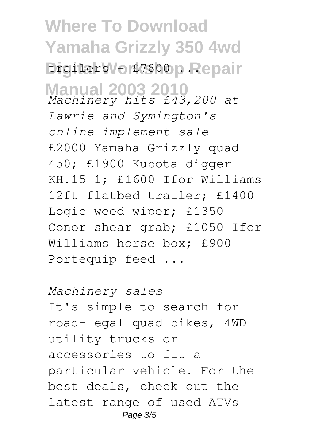**Where To Download Yamaha Grizzly 350 4wd** trailers – £7800 p. Repair **Manual 2003 2010** *Machinery hits £43,200 at Lawrie and Symington's online implement sale* £2000 Yamaha Grizzly quad 450; £1900 Kubota digger KH.15 1; £1600 Ifor Williams 12ft flatbed trailer; £1400 Logic weed wiper; £1350 Conor shear grab; £1050 Ifor Williams horse box; £900 Portequip feed ...

*Machinery sales* It's simple to search for road-legal quad bikes, 4WD utility trucks or accessories to fit a particular vehicle. For the best deals, check out the latest range of used ATVs Page 3/5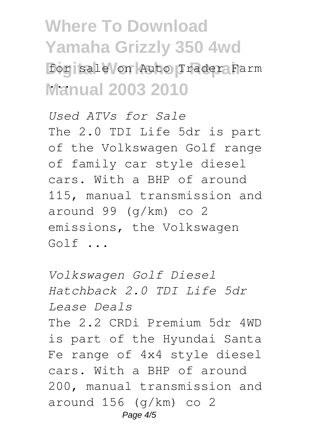**Where To Download Yamaha Grizzly 350 4wd** for sale on Auto Trader Farm **Manual 2003 2010** ...

*Used ATVs for Sale* The 2.0 TDI Life 5dr is part of the Volkswagen Golf range of family car style diesel cars. With a BHP of around 115, manual transmission and around 99 (g/km) co 2 emissions, the Volkswagen Golf ...

*Volkswagen Golf Diesel Hatchback 2.0 TDI Life 5dr Lease Deals* The 2.2 CRDi Premium 5dr 4WD is part of the Hyundai Santa Fe range of 4x4 style diesel cars. With a BHP of around 200, manual transmission and around 156 (g/km) co 2 Page  $4/5$